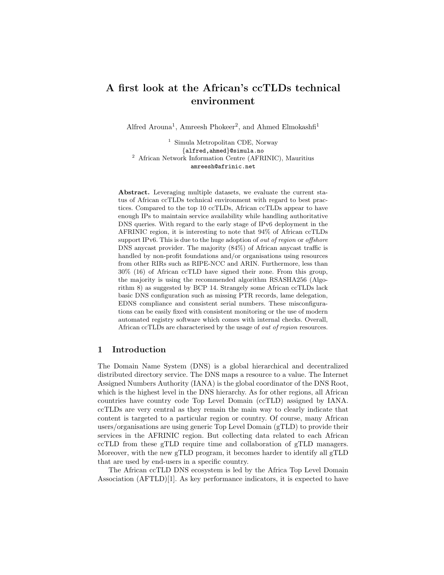# A first look at the African's ccTLDs technical environment

Alfred Arouna<sup>1</sup>, Amreesh Phokeer<sup>2</sup>, and Ahmed Elmokashfi<sup>1</sup>

<sup>1</sup> Simula Metropolitan CDE, Norway {alfred,ahmed}@simula.no <sup>2</sup> African Network Information Centre (AFRINIC), Mauritius amreesh@afrinic.net

Abstract. Leveraging multiple datasets, we evaluate the current status of African ccTLDs technical environment with regard to best practices. Compared to the top 10 ccTLDs, African ccTLDs appear to have enough IPs to maintain service availability while handling authoritative DNS queries. With regard to the early stage of IPv6 deployment in the AFRINIC region, it is interesting to note that 94% of African ccTLDs support IPv6. This is due to the huge adoption of *out of region* or *offshore* DNS anycast provider. The majority (84%) of African anycast traffic is handled by non-profit foundations and/or organisations using resources from other RIRs such as RIPE-NCC and ARIN. Furthermore, less than 30% (16) of African ccTLD have signed their zone. From this group, the majority is using the recommended algorithm RSASHA256 (Algorithm 8) as suggested by BCP 14. Strangely some African ccTLDs lack basic DNS configuration such as missing PTR records, lame delegation, EDNS compliance and consistent serial numbers. These misconfigurations can be easily fixed with consistent monitoring or the use of modern automated registry software which comes with internal checks. Overall, African ccTLDs are characterised by the usage of out of region resources.

# 1 Introduction

The Domain Name System (DNS) is a global hierarchical and decentralized distributed directory service. The DNS maps a resource to a value. The Internet Assigned Numbers Authority (IANA) is the global coordinator of the DNS Root, which is the highest level in the DNS hierarchy. As for other regions, all African countries have country code Top Level Domain (ccTLD) assigned by IANA. ccTLDs are very central as they remain the main way to clearly indicate that content is targeted to a particular region or country. Of course, many African users/organisations are using generic Top Level Domain (gTLD) to provide their services in the AFRINIC region. But collecting data related to each African ccTLD from these gTLD require time and collaboration of gTLD managers. Moreover, with the new gTLD program, it becomes harder to identify all gTLD that are used by end-users in a specific country.

The African ccTLD DNS ecosystem is led by the Africa Top Level Domain Association (AFTLD)[1]. As key performance indicators, it is expected to have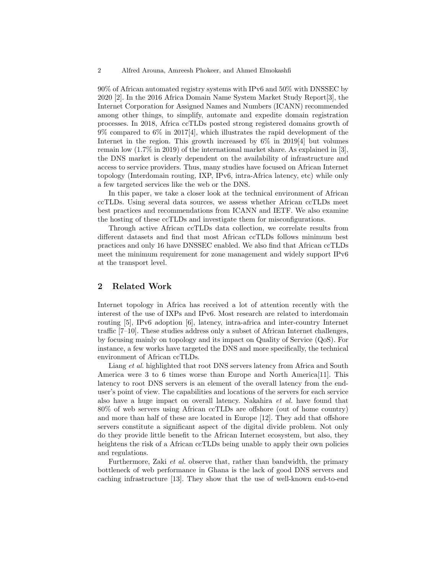90% of African automated registry systems with IPv6 and 50% with DNSSEC by 2020 [2]. In the 2016 Africa Domain Name System Market Study Report[3], the Internet Corporation for Assigned Names and Numbers (ICANN) recommended among other things, to simplify, automate and expedite domain registration processes. In 2018, Africa ccTLDs posted strong registered domains growth of  $9\%$  compared to  $6\%$  in 2017[4], which illustrates the rapid development of the Internet in the region. This growth increased by 6% in 2019[4] but volumes remain low (1.7% in 2019) of the international market share. As explained in [3], the DNS market is clearly dependent on the availability of infrastructure and access to service providers. Thus, many studies have focused on African Internet topology (Interdomain routing, IXP, IPv6, intra-Africa latency, etc) while only a few targeted services like the web or the DNS.

In this paper, we take a closer look at the technical environment of African ccTLDs. Using several data sources, we assess whether African ccTLDs meet best practices and recommendations from ICANN and IETF. We also examine the hosting of these ccTLDs and investigate them for misconfigurations.

Through active African ccTLDs data collection, we correlate results from different datasets and find that most African ccTLDs follows minimum best practices and only 16 have DNSSEC enabled. We also find that African ccTLDs meet the minimum requirement for zone management and widely support IPv6 at the transport level.

# 2 Related Work

Internet topology in Africa has received a lot of attention recently with the interest of the use of IXPs and IPv6. Most research are related to interdomain routing [5], IPv6 adoption [6], latency, intra-africa and inter-country Internet traffic [7–10]. These studies address only a subset of African Internet challenges, by focusing mainly on topology and its impact on Quality of Service (QoS). For instance, a few works have targeted the DNS and more specifically, the technical environment of African ccTLDs.

Liang *et al.* highlighted that root DNS servers latency from Africa and South America were 3 to 6 times worse than Europe and North America[11]. This latency to root DNS servers is an element of the overall latency from the enduser's point of view. The capabilities and locations of the servers for each service also have a huge impact on overall latency. Nakahira et al. have found that 80% of web servers using African ccTLDs are offshore (out of home country) and more than half of these are located in Europe [12]. They add that offshore servers constitute a significant aspect of the digital divide problem. Not only do they provide little benefit to the African Internet ecosystem, but also, they heightens the risk of a African ccTLDs being unable to apply their own policies and regulations.

Furthermore, Zaki et al. observe that, rather than bandwidth, the primary bottleneck of web performance in Ghana is the lack of good DNS servers and caching infrastructure [13]. They show that the use of well-known end-to-end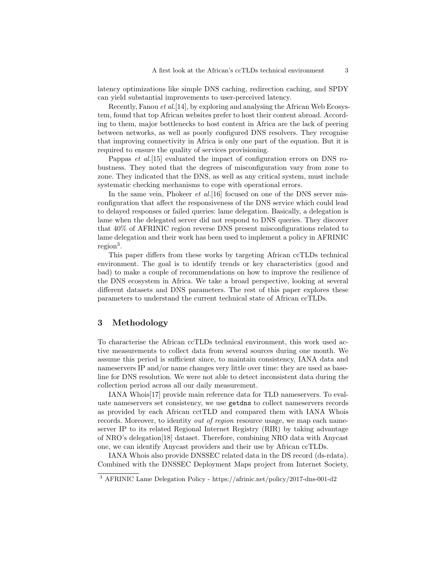latency optimizations like simple DNS caching, redirection caching, and SPDY can yield substantial improvements to user-perceived latency.

Recently, Fanou et al.[14], by exploring and analysing the African Web Ecosystem, found that top African websites prefer to host their content abroad. According to them, major bottlenecks to host content in Africa are the lack of peering between networks, as well as poorly configured DNS resolvers. They recognise that improving connectivity in Africa is only one part of the equation. But it is required to ensure the quality of services provisioning.

Pappas et al.[15] evaluated the impact of configuration errors on DNS robustness. They noted that the degrees of misconfiguration vary from zone to zone. They indicated that the DNS, as well as any critical system, must include systematic checking mechanisms to cope with operational errors.

In the same vein, Phokeer  $et \ al.$ [16] focused on one of the DNS server misconfiguration that affect the responsiveness of the DNS service which could lead to delayed responses or failed queries: lame delegation. Basically, a delegation is lame when the delegated server did not respond to DNS queries. They discover that 40% of AFRINIC region reverse DNS present misconfigurations related to lame delegation and their work has been used to implement a policy in AFRINIC region<sup>3</sup>.

This paper differs from these works by targeting African ccTLDs technical environment. The goal is to identify trends or key characteristics (good and bad) to make a couple of recommendations on how to improve the resilience of the DNS ecosystem in Africa. We take a broad perspective, looking at several different datasets and DNS parameters. The rest of this paper explores these parameters to understand the current technical state of African ccTLDs.

# 3 Methodology

To characterise the African ccTLDs technical environment, this work used active measurements to collect data from several sources during one month. We assume this period is sufficient since, to maintain consistency, IANA data and nameservers IP and/or name changes very little over time: they are used as baseline for DNS resolution. We were not able to detect inconsistent data during the collection period across all our daily measurement.

IANA Whois[17] provide main reference data for TLD nameservers. To evaluate nameservers set consistency, we use getdns to collect nameservers records as provided by each African cctTLD and compared them with IANA Whois records. Moreover, to identity *out of region* resource usage, we map each nameserver IP to its related Regional Internet Registry (RIR) by taking advantage of NRO's delegation[18] dataset. Therefore, combining NRO data with Anycast one, we can identify Anycast providers and their use by African ccTLDs.

IANA Whois also provide DNSSEC related data in the DS record (ds-rdata). Combined with the DNSSEC Deployment Maps project from Internet Society,

<sup>3</sup> AFRINIC Lame Delegation Policy - https://afrinic.net/policy/2017-dns-001-d2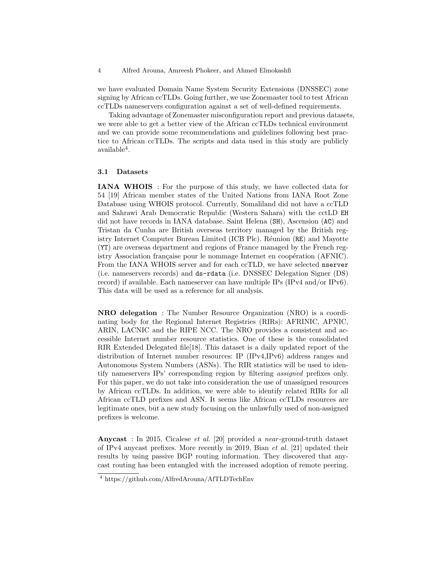we have evaluated Domain Name System Security Extensions (DNSSEC) zone signing by African ccTLDs. Going further, we use Zonemaster tool to test African ccTLDs nameservers configuration against a set of well-defined requirements.

Taking advantage of Zonemaster misconfiguration report and previous datasets, we were able to get a better view of the African ccTLDs technical environment and we can provide some recommendations and guidelines following best practice to African ccTLDs. The scripts and data used in this study are publicly  $a$ vailable $4$ .

#### 3.1 Datasets

IANA WHOIS : For the purpose of this study, we have collected data for 54 [19] African member states of the United Nations from IANA Root Zone Database using WHOIS protocol. Currently, Somaliland did not have a ccTLD and Sahrawi Arab Democratic Republic (Western Sahara) with the cctLD EH did not have records in IANA database. Saint Helena (SH), Ascension (AC) and Tristan da Cunha are British overseas territory managed by the British registry Internet Computer Bureau Limited (ICB Plc). Réunion (RE) and Mayotte (YT) are overseas department and regions of France managed by the French registry Association française pour le nommage Internet en coopération (AFNIC). From the IANA WHOIS server and for each ccTLD, we have selected nserver (i.e. nameservers records) and ds-rdata (i.e. DNSSEC Delegation Signer (DS) record) if available. Each nameserver can have multiple IPs (IPv4 and/or IPv6). This data will be used as a reference for all analysis.

NRO delegation : The Number Resource Organization (NRO) is a coordinating body for the Regional Internet Registries (RIRs): AFRINIC, APNIC, ARIN, LACNIC and the RIPE NCC. The NRO provides a consistent and accessible Internet number resource statistics. One of these is the consolidated RIR Extended Delegated file[18]. This dataset is a daily updated report of the distribution of Internet number resources: IP (IPv4,IPv6) address ranges and Autonomous System Numbers (ASNs). The RIR statistics will be used to identify nameservers IPs' corresponding region by filtering assigned prefixes only. For this paper, we do not take into consideration the use of unassigned resources by African ccTLDs. In addition, we were able to identify related RIRs for all African ccTLD prefixes and ASN. It seems like African ccTLDs resources are legitimate ones, but a new study focusing on the unlawfully used of non-assigned prefixes is welcome.

Anycast : In 2015, Cicalese et al. [20] provided a near -ground-truth dataset of IPv4 anycast prefixes. More recently in 2019, Bian et al. [21] updated their results by using passive BGP routing information. They discovered that anycast routing has been entangled with the increased adoption of remote peering.

<sup>4</sup> https://github.com/AlfredArouna/AfTLDTechEnv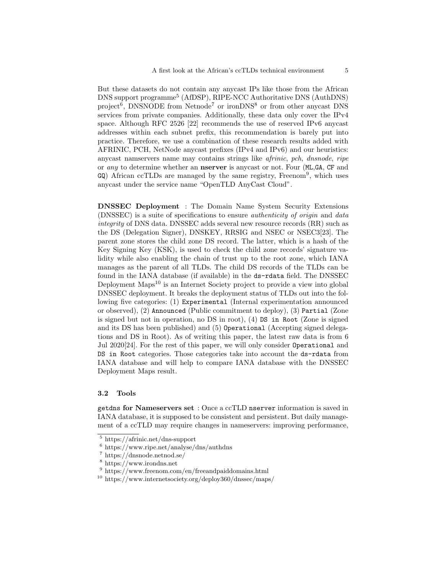But these datasets do not contain any anycast IPs like those from the African DNS support programme<sup>5</sup> (AfDSP), RIPE-NCC Authoritative DNS (AuthDNS) project<sup>6</sup>, DNSNODE from Netnode<sup>7</sup> or ironDNS<sup>8</sup> or from other anycast DNS services from private companies. Additionally, these data only cover the IPv4 space. Although RFC 2526 [22] recommends the use of reserved IPv6 anycast addresses within each subnet prefix, this recommendation is barely put into practice. Therefore, we use a combination of these research results added with AFRINIC, PCH, NetNode anycast prefixes (IPv4 and IPv6) and our heuristics: anycast namservers name may contains strings like afrinic, pch, dnsnode, ripe or any to determine whether an nserver is anycast or not. Four (ML,GA, CF and GQ) African ccTLDs are managed by the same registry, Freenom<sup>9</sup>, which uses anycast under the service name "OpenTLD AnyCast Cloud".

DNSSEC Deployment : The Domain Name System Security Extensions (DNSSEC) is a suite of specifications to ensure authenticity of origin and data integrity of DNS data. DNSSEC adds several new resource records (RR) such as the DS (Delegation Signer), DNSKEY, RRSIG and NSEC or NSEC3[23]. The parent zone stores the child zone DS record. The latter, which is a hash of the Key Signing Key (KSK), is used to check the child zone records' signature validity while also enabling the chain of trust up to the root zone, which IANA manages as the parent of all TLDs. The child DS records of the TLDs can be found in the IANA database (if available) in the ds-rdata field. The DNSSEC Deployment  $Maps^{10}$  is an Internet Society project to provide a view into global DNSSEC deployment. It breaks the deployment status of TLDs out into the following five categories: (1) Experimental (Internal experimentation announced or observed), (2) Announced (Public commitment to deploy), (3) Partial (Zone is signed but not in operation, no DS in root), (4) DS in Root (Zone is signed and its DS has been published) and (5) Operational (Accepting signed delegations and DS in Root). As of writing this paper, the latest raw data is from 6 Jul 2020[24]. For the rest of this paper, we will only consider Operational and DS in Root categories. Those categories take into account the ds-rdata from IANA database and will help to compare IANA database with the DNSSEC Deployment Maps result.

### 3.2 Tools

getdns for Nameservers set : Once a ccTLD nserver information is saved in IANA database, it is supposed to be consistent and persistent. But daily management of a ccTLD may require changes in nameservers: improving performance,

<sup>5</sup> https://afrinic.net/dns-support

 $6 \text{ https://www.ripe.net/analyse/dns/authdns}$ 

<sup>7</sup> https://dnsnode.netnod.se/

<sup>8</sup> https://www.irondns.net

 $9 \text{ https://www.freenom.com/en/freendpaiddomains.html}$ 

<sup>10</sup> https://www.internetsociety.org/deploy360/dnssec/maps/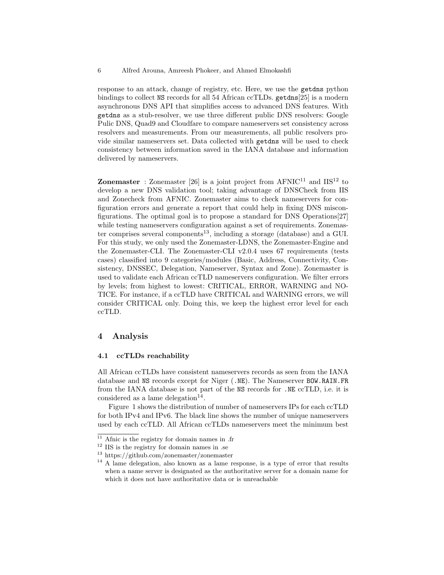response to an attack, change of registry, etc. Here, we use the getdns python bindings to collect NS records for all 54 African ccTLDs. getdns[25] is a modern asynchronous DNS API that simplifies access to advanced DNS features. With getdns as a stub-resolver, we use three different public DNS resolvers: Google Pulic DNS, Quad9 and Cloudfare to compare nameservers set consistency across resolvers and measurements. From our measurements, all public resolvers provide similar nameservers set. Data collected with getdns will be used to check consistency between information saved in the IANA database and information delivered by nameservers.

**Zonemaster** : Zonemaster [26] is a joint project from AFNIC<sup>11</sup> and  $IIS<sup>12</sup>$  to develop a new DNS validation tool; taking advantage of DNSCheck from IIS and Zonecheck from AFNIC. Zonemaster aims to check nameservers for configuration errors and generate a report that could help in fixing DNS misconfigurations. The optimal goal is to propose a standard for DNS Operations[27] while testing nameservers configuration against a set of requirements. Zonemaster comprises several components<sup>13</sup>, including a storage (database) and a GUI. For this study, we only used the Zonemaster-LDNS, the Zonemaster-Engine and the Zonemaster-CLI. The Zonemaster-CLI v2.0.4 uses 67 requirements (tests cases) classified into 9 categories/modules (Basic, Address, Connectivity, Consistency, DNSSEC, Delegation, Nameserver, Syntax and Zone). Zonemaster is used to validate each African ccTLD nameservers configuration. We filter errors by levels; from highest to lowest: CRITICAL, ERROR, WARNING and NO-TICE. For instance, if a ccTLD have CRITICAL and WARNING errors, we will consider CRITICAL only. Doing this, we keep the highest error level for each ccTLD.

### 4 Analysis

#### 4.1 ccTLDs reachability

All African ccTLDs have consistent nameservers records as seen from the IANA database and NS records except for Niger (.NE). The Nameserver BOW.RAIN.FR from the IANA database is not part of the NS records for .NE ccTLD, i.e. it is considered as a lame delegation<sup>14</sup>.

Figure 1 shows the distribution of number of nameservers IPs for each ccTLD for both IPv4 and IPv6. The black line shows the number of unique nameservers used by each ccTLD. All African ccTLDs nameservers meet the minimum best

 $\frac{11}{11}$  Afnic is the registry for domain names in .fr

<sup>&</sup>lt;sup>12</sup> IIS is the registry for domain names in .se

<sup>13</sup> https://github.com/zonemaster/zonemaster

<sup>&</sup>lt;sup>14</sup> A lame delegation, also known as a lame response, is a type of error that results when a name server is designated as the authoritative server for a domain name for which it does not have authoritative data or is unreachable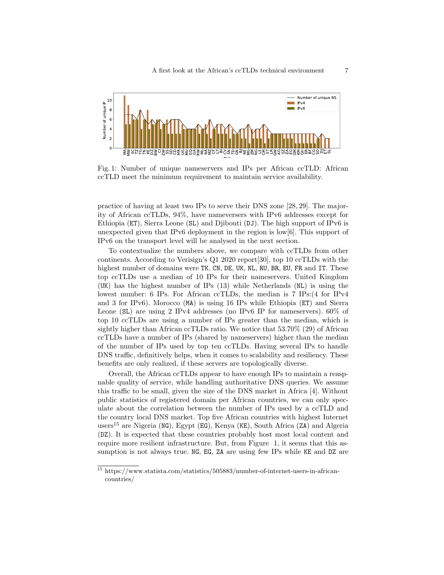

Fig. 1: Number of unique nameservers and IPs per African ccTLD: African ccTLD meet the minimum requirement to maintain service availability.

practice of having at least two IPs to serve their DNS zone [28, 29]. The majority of African ccTLDs, 94%, have nameversers with IPv6 addresses except for Ethiopia (ET), Sierra Leone (SL) and Djibouti (DJ). The high support of IPv6 is unexpected given that IPv6 deployment in the region is low[6]. This support of IPv6 on the transport level will be analysed in the next section.

To contextualize the numbers above, we compare with ccTLDs from other continents. According to Verisign's Q1 2020 report[30], top 10 ccTLDs with the highest number of domains were TK, CN, DE, UK, NL, RU, BR, EU, FR and IT. These top ccTLDs use a median of 10 IPs for their nameservers. United Kingdom (UK) has the highest number of IPs (13) while Netherlands (NL) is using the lowest number: 6 IPs. For African ccTLDs, the median is 7 IPs:(4 for IPv4 and 3 for IPv6). Morocco (MA) is using 16 IPs while Ethiopia (ET) and Sierra Leone (SL) are using 2 IPv4 addresses (no IPv6 IP for nameservers). 60% of top 10 ccTLDs are using a number of IPs greater than the median, which is sightly higher than African ccTLDs ratio. We notice that 53.70% (29) of African ccTLDs have a number of IPs (shared by nameservers) higher than the median of the number of IPs used by top ten ccTLDs. Having several IPs to handle DNS traffic, definitively helps, when it comes to scalability and resiliency. These benefits are only realized, if these servers are topologically diverse.

Overall, the African ccTLDs appear to have enough IPs to maintain a reaspnable quality of service, while handling authoritative DNS queries. We assume this traffic to be small, given the size of the DNS market in Africa [4]. Without public statistics of registered domain per African countries, we can only speculate about the correlation between the number of IPs used by a ccTLD and the country local DNS market. Top five African countries with highest Internet users<sup>15</sup> are Nigeria (NG), Egypt (EG), Kenya (KE), South Africa (ZA) and Algeria (DZ). It is expected that these countries probably host most local content and require more resilient infrastructure. But, from Figure 1, it seems that this assumption is not always true. NG, EG, ZA are using few IPs while KE and DZ are

 $^{15}$ https://www.statista.com/statistics/505883/number-of-internet-users-in-africancountries/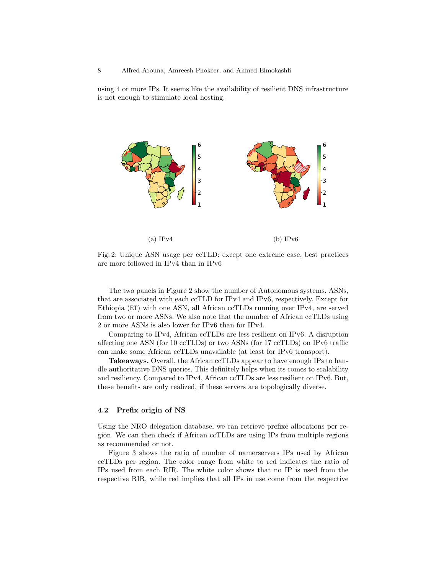using 4 or more IPs. It seems like the availability of resilient DNS infrastructure is not enough to stimulate local hosting.



Fig. 2: Unique ASN usage per ccTLD: except one extreme case, best practices are more followed in IPv4 than in IPv6

The two panels in Figure 2 show the number of Autonomous systems, ASNs, that are associated with each ccTLD for IPv4 and IPv6, respectively. Except for Ethiopia (ET) with one ASN, all African ccTLDs running over IPv4, are served from two or more ASNs. We also note that the number of African ccTLDs using 2 or more ASNs is also lower for IPv6 than for IPv4.

Comparing to IPv4, African ccTLDs are less resilient on IPv6. A disruption affecting one ASN (for 10 ccTLDs) or two ASNs (for 17 ccTLDs) on IPv6 traffic can make some African ccTLDs unavailable (at least for IPv6 transport).

Takeaways. Overall, the African ccTLDs appear to have enough IPs to handle authoritative DNS queries. This definitely helps when its comes to scalability and resiliency. Compared to IPv4, African ccTLDs are less resilient on IPv6. But, these benefits are only realized, if these servers are topologically diverse.

### 4.2 Prefix origin of NS

Using the NRO delegation database, we can retrieve prefixe allocations per region. We can then check if African ccTLDs are using IPs from multiple regions as recommended or not.

Figure 3 shows the ratio of number of namerservers IPs used by African ccTLDs per region. The color range from white to red indicates the ratio of IPs used from each RIR. The white color shows that no IP is used from the respective RIR, while red implies that all IPs in use come from the respective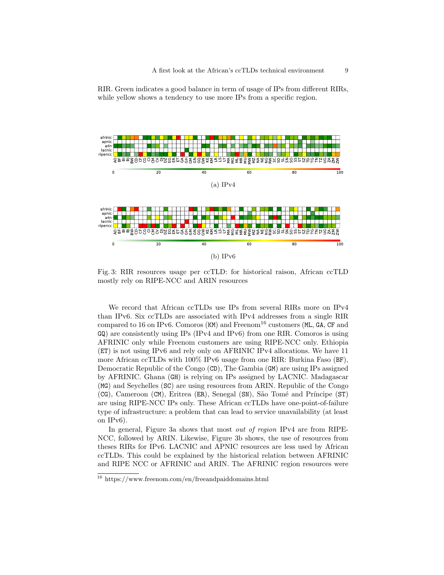RIR. Green indicates a good balance in term of usage of IPs from different RIRs, while yellow shows a tendency to use more IPs from a specific region.



Fig. 3: RIR resources usage per ccTLD: for historical raison, African ccTLD mostly rely on RIPE-NCC and ARIN resources

We record that African ccTLDs use IPs from several RIRs more on IPv4 than IPv6. Six ccTLDs are associated with IPv4 addresses from a single RIR compared to 16 on IPv6. Comoros  $(KM)$  and Freenom<sup>16</sup> customers  $(ML, GA, CF, and$ GQ) are consistently using IPs (IPv4 and IPv6) from one RIR. Comoros is using AFRINIC only while Freenom customers are using RIPE-NCC only. Ethiopia (ET) is not using IPv6 and rely only on AFRINIC IPv4 allocations. We have 11 more African ccTLDs with 100% IPv6 usage from one RIR: Burkina Faso (BF), Democratic Republic of the Congo (CD), The Gambia (GM) are using IPs assigned by AFRINIC. Ghana (GH) is relying on IPs assigned by LACNIC. Madagascar (MG) and Seychelles (SC) are using resources from ARIN. Republic of the Congo (CG), Cameroon (CM), Eritrea (ER), Senegal (SN), São Tomé and Príncipe (ST) are using RIPE-NCC IPs only. These African ccTLDs have one-point-of-failure type of infrastructure: a problem that can lead to service unavailability (at least on IPv6).

In general, Figure 3a shows that most *out of region* IPv4 are from RIPE-NCC, followed by ARIN. Likewise, Figure 3b shows, the use of resources from theses RIRs for IPv6. LACNIC and APNIC resources are less used by African ccTLDs. This could be explained by the historical relation between AFRINIC and RIPE NCC or AFRINIC and ARIN. The AFRINIC region resources were

<sup>16</sup> https://www.freenom.com/en/freeandpaiddomains.html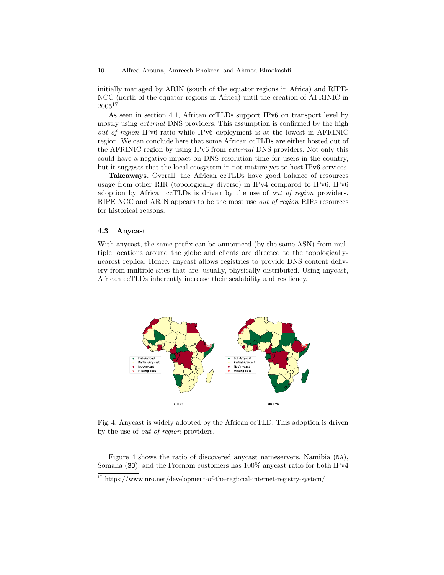initially managed by ARIN (south of the equator regions in Africa) and RIPE-NCC (north of the equator regions in Africa) until the creation of AFRINIC in  $2005^{17}$ .

As seen in section 4.1, African ccTLDs support IPv6 on transport level by mostly using external DNS providers. This assumption is confirmed by the high out of region IPv6 ratio while IPv6 deployment is at the lowest in AFRINIC region. We can conclude here that some African ccTLDs are either hosted out of the AFRINIC region by using IPv6 from external DNS providers. Not only this could have a negative impact on DNS resolution time for users in the country, but it suggests that the local ecosystem in not mature yet to host IPv6 services.

Takeaways. Overall, the African ccTLDs have good balance of resources usage from other RIR (topologically diverse) in IPv4 compared to IPv6. IPv6 adoption by African ccTLDs is driven by the use of out of region providers. RIPE NCC and ARIN appears to be the most use out of region RIRs resources for historical reasons.

#### 4.3 Anycast

With anycast, the same prefix can be announced (by the same ASN) from multiple locations around the globe and clients are directed to the topologicallynearest replica. Hence, anycast allows registries to provide DNS content delivery from multiple sites that are, usually, physically distributed. Using anycast, African ccTLDs inherently increase their scalability and resiliency.



Fig. 4: Anycast is widely adopted by the African ccTLD. This adoption is driven by the use of out of region providers.

Figure 4 shows the ratio of discovered anycast nameservers. Namibia (NA), Somalia (SO), and the Freenom customers has 100% anycast ratio for both IPv4

 $17$  https://www.nro.net/development-of-the-regional-internet-registry-system/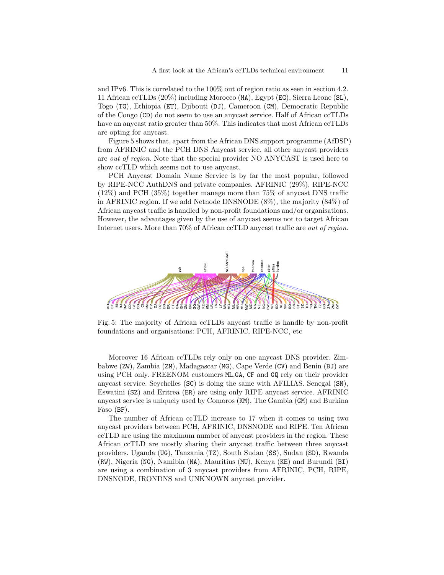and IPv6. This is correlated to the 100% out of region ratio as seen in section 4.2. 11 African ccTLDs (20%) including Morocco (MA), Egypt (EG), Sierra Leone (SL), Togo (TG), Ethiopia (ET), Djibouti (DJ), Cameroon (CM), Democratic Republic of the Congo (CD) do not seem to use an anycast service. Half of African ccTLDs have an any cast ratio greater than 50%. This indicates that most African ccTLDs are opting for anycast.

Figure 5 shows that, apart from the African DNS support programme (AfDSP) from AFRINIC and the PCH DNS Anycast service, all other anycast providers are out of region. Note that the special provider NO ANYCAST is used here to show ccTLD which seems not to use anycast.

PCH Anycast Domain Name Service is by far the most popular, followed by RIPE-NCC AuthDNS and private companies. AFRINIC (29%), RIPE-NCC (12%) and PCH (35%) together manage more than 75% of anycast DNS traffic in AFRINIC region. If we add Netnode DNSNODE (8%), the majority (84%) of African anycast traffic is handled by non-profit foundations and/or organisations. However, the advantages given by the use of anycast seems not to target African Internet users. More than 70% of African ccTLD anycast traffic are out of region.



Fig. 5: The majority of African ccTLDs anycast traffic is handle by non-profit foundations and organisations: PCH, AFRINIC, RIPE-NCC, etc

Moreover 16 African ccTLDs rely only on one anycast DNS provider. Zimbabwe (ZW), Zambia (ZM), Madagascar (MG), Cape Verde (CV) and Benin (BJ) are using PCH only. FREENOM customers ML,GA, CF and GQ rely on their provider anycast service. Seychelles (SC) is doing the same with AFILIAS. Senegal (SN), Eswatini (SZ) and Eritrea (ER) are using only RIPE anycast service. AFRINIC anycast service is uniquely used by Comoros (KM), The Gambia (GM) and Burkina Faso (BF).

The number of African ccTLD increase to 17 when it comes to using two anycast providers between PCH, AFRINIC, DNSNODE and RIPE. Ten African ccTLD are using the maximum number of anycast providers in the region. These African ccTLD are mostly sharing their anycast traffic between three anycast providers. Uganda (UG), Tanzania (TZ), South Sudan (SS), Sudan (SD), Rwanda (RW), Nigeria (NG), Namibia (NA), Mauritius (MU), Kenya (KE) and Burundi (BI) are using a combination of 3 anycast providers from AFRINIC, PCH, RIPE, DNSNODE, IRONDNS and UNKNOWN anycast provider.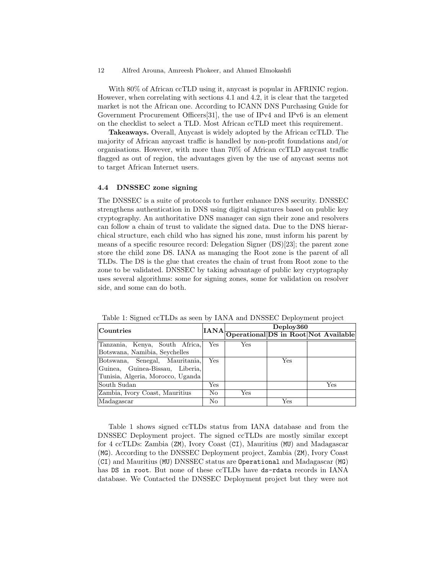With 80% of African ccTLD using it, any cast is popular in AFRINIC region. However, when correlating with sections 4.1 and 4.2, it is clear that the targeted market is not the African one. According to ICANN DNS Purchasing Guide for Government Procurement Officers[31], the use of IPv4 and IPv6 is an element on the checklist to select a TLD. Most African ccTLD meet this requirement.

Takeaways. Overall, Anycast is widely adopted by the African ccTLD. The majority of African anycast traffic is handled by non-profit foundations and/or organisations. However, with more than 70% of African ccTLD anycast traffic flagged as out of region, the advantages given by the use of anycast seems not to target African Internet users.

### 4.4 DNSSEC zone signing

The DNSSEC is a suite of protocols to further enhance DNS security. DNSSEC strengthens authentication in DNS using digital signatures based on public key cryptography. An authoritative DNS manager can sign their zone and resolvers can follow a chain of trust to validate the signed data. Due to the DNS hierarchical structure, each child who has signed his zone, must inform his parent by means of a specific resource record: Delegation Signer (DS)[23]; the parent zone store the child zone DS. IANA as managing the Root zone is the parent of all TLDs. The DS is the glue that creates the chain of trust from Root zone to the zone to be validated. DNSSEC by taking advantage of public key cryptography uses several algorithms: some for signing zones, some for validation on resolver side, and some can do both.

|                                   |              | Deploy360 |              |                                                                                                |
|-----------------------------------|--------------|-----------|--------------|------------------------------------------------------------------------------------------------|
| $ {\rm Countries} $               |              |           |              | $ \text{IANA}  \overline{\text{Operational}  \text{DS in }\text{Root}  \text{Not Available}} $ |
| Tanzania, Kenya, South Africa,    | Yes          | Yes       |              |                                                                                                |
| Botswana, Namibia, Seychelles     |              |           |              |                                                                                                |
| Botswana, Senegal, Mauritania,    | $_{\rm Yes}$ |           | Yes          |                                                                                                |
| Guinea, Guinea-Bissau, Liberia,   |              |           |              |                                                                                                |
| Tunisia, Algeria, Morocco, Uganda |              |           |              |                                                                                                |
| South Sudan                       | Yes          |           |              | Yes                                                                                            |
| Zambia, Ivory Coast, Mauritius    | No.          | Yes       |              |                                                                                                |
| Madagascar                        | No           |           | $_{\rm Yes}$ |                                                                                                |

Table 1: Signed ccTLDs as seen by IANA and DNSSEC Deployment project

Table 1 shows signed ccTLDs status from IANA database and from the DNSSEC Deployment project. The signed ccTLDs are mostly similar except for 4 ccTLDs: Zambia (ZM), Ivory Coast (CI), Mauritius (MU) and Madagascar (MG). According to the DNSSEC Deployment project, Zambia (ZM), Ivory Coast (CI) and Mauritius (MU) DNSSEC status are Operational and Madagascar (MG) has DS in root. But none of these ccTLDs have ds-rdata records in IANA database. We Contacted the DNSSEC Deployment project but they were not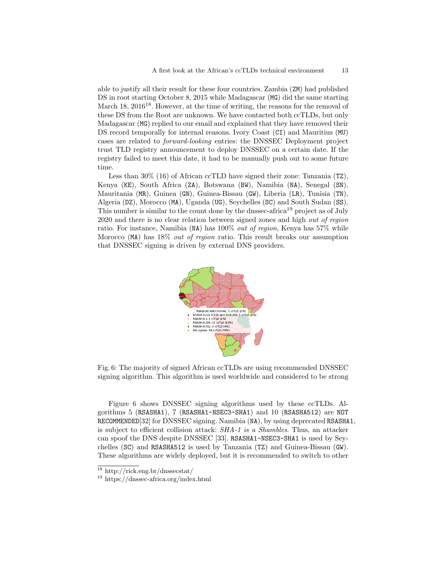able to justify all their result for these four countries. Zambia (ZM) had published DS in root starting October 8, 2015 while Madagascar (MG) did the same starting March 18, 2016<sup>18</sup>. However, at the time of writing, the reasons for the removal of these DS from the Root are unknown. We have contacted both ccTLDs, but only Madagascar (MG) replied to our email and explained that they have removed their DS record temporally for internal reasons. Ivory Coast (CI) and Mauritius (MU) cases are related to forward-looking entries: the DNSSEC Deployment project trust TLD registry announcement to deploy DNSSEC on a certain date. If the registry failed to meet this date, it had to be manually push out to some future time.

Less than 30% (16) of African ccTLD have signed their zone: Tanzania (TZ), Kenya (KE), South Africa (ZA), Botswana (BW), Namibia (NA), Senegal (SN), Mauritania (MR), Guinea (GN), Guinea-Bissau (GW), Liberia (LR), Tunisia (TN), Algeria (DZ), Morocco (MA), Uganda (UG), Seychelles (SC) and South Sudan (SS). This number is similar to the count done by the dnssec-africa<sup>19</sup> project as of July 2020 and there is no clear relation between signed zones and high out of region ratio. For instance, Namibia (NA) has 100% out of region, Kenya has 57% while Morocco (MA) has 18% *out of region* ratio. This result breaks our assumption that DNSSEC signing is driven by external DNS providers.



Fig. 6: The majority of signed African ccTLDs are using recommended DNSSEC signing algorithm. This algorithm is used worldwide and considered to be strong

Figure 6 shows DNSSEC signing algorithms used by these ccTLDs. Algorithms 5 (RSASHA1), 7 (RSASHA1-NSEC3-SHA1) and 10 (RSASHA512) are NOT RECOMMENDED[32] for DNSSEC signing. Namibia (NA), by using deprecated RSASHA1, is subject to efficient collision attack: SHA-1 is a Shambles. Thus, an attacker can spoof the DNS despite DNSSEC [33]. RSASHA1-NSEC3-SHA1 is used by Seychelles (SC) and RSASHA512 is used by Tanzania (TZ) and Guinea-Bissau (GW). These algorithms are widely deployed, but it is recommended to switch to other

<sup>18</sup> http://rick.eng.br/dnssecstat/

<sup>19</sup> https://dnssec-africa.org/index.html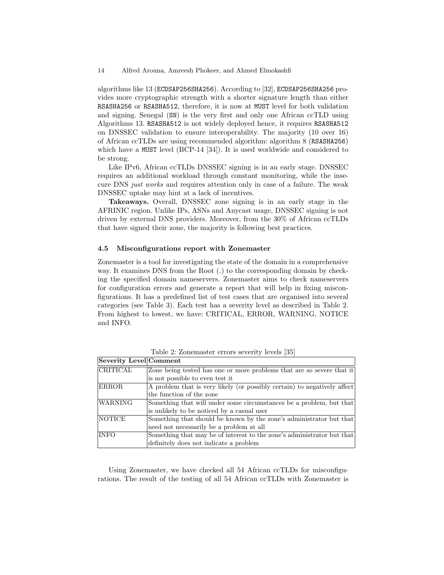algorithms like 13 (ECDSAP256SHA256). According to [32], ECDSAP256SHA256 provides more cryptographic strength with a shorter signature length than either RSASHA256 or RSASHA512, therefore, it is now at MUST level for both validation and signing. Senegal (SN) is the very first and only one African ccTLD using Algorithms 13. RSASHA512 is not widely deployed hence, it requires RSASHA512 on DNSSEC validation to ensure interoperability. The majority (10 over 16) of African ccTLDs are using recommended algorithm: algorithm 8 (RSASHA256) which have a MUST level (BCP-14 [34]). It is used worldwide and considered to be strong.

Like IPv6, African ccTLDs DNSSEC signing is in an early stage. DNSSEC requires an additional workload through constant monitoring, while the insecure DNS just works and requires attention only in case of a failure. The weak DNSSEC uptake may hint at a lack of incentives.

Takeaways. Overall, DNSSEC zone signing is in an early stage in the AFRINIC region. Unlike IPs, ASNs and Anycast usage, DNSSEC signing is not driven by external DNS providers. Moreover, from the 30% of African ccTLDs that have signed their zone, the majority is following best practices.

#### 4.5 Misconfigurations report with Zonemaster

Zonemaster is a tool for investigating the state of the domain in a comprehensive way. It examines DNS from the Root (.) to the corresponding domain by checking the specified domain nameservers. Zonemaster aims to check nameservers for configuration errors and generate a report that will help in fixing misconfigurations. It has a predefined list of test cases that are organised into several categories (see Table 3). Each test has a severity level as described in Table 2. From highest to lowest, we have: CRITICAL, ERROR, WARNING, NOTICE and INFO.

| Severity Level Comment |                                                                          |
|------------------------|--------------------------------------------------------------------------|
| <b>CRITICAL</b>        | Zone being tested has one or more problems that are so severe that it    |
|                        | is not possible to even test it                                          |
| <b>ERROR</b>           | A problem that is very likely (or possibly certain) to negatively affect |
|                        | the function of the zone                                                 |
| WARNING                | Something that will under some circumstances be a problem, but that      |
|                        | is unlikely to be noticed by a casual user                               |
| NOTICE                 | Something that should be known by the zone's administrator but that      |
|                        | need not necessarily be a problem at all                                 |
| <b>INFO</b>            | Something that may be of interest to the zone's administrator but that   |
|                        | definitely does not indicate a problem                                   |

Table 2: Zonemaster errors severity levels [35]

Using Zonemaster, we have checked all 54 African ccTLDs for misconfigurations. The result of the testing of all 54 African ccTLDs with Zonemaster is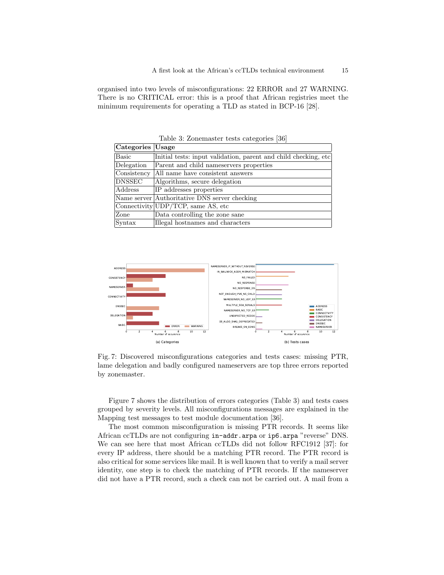organised into two levels of misconfigurations: 22 ERROR and 27 WARNING. There is no CRITICAL error: this is a proof that African registries meet the minimum requirements for operating a TLD as stated in BCP-16 [28].

| Categories Usage |                                                                  |
|------------------|------------------------------------------------------------------|
| Basic            | Initial tests: input validation, parent and child checking, etc. |
| Delegation       | Parent and child names ervers properties                         |
| Consistency      | All name have consistent answers                                 |
| <b>DNSSEC</b>    | Algorithms, secure delegation                                    |
| Address          | IP addresses properties                                          |
|                  | Name server Authoritative DNS server checking                    |
|                  | Connectivity UDP/TCP, same AS, etc                               |
| Zone             | Data controlling the zone sane                                   |
| Syntax           | Illegal hostnames and characters                                 |

Table 3: Zonemaster tests categories [36]



Fig. 7: Discovered misconfigurations categories and tests cases: missing PTR, lame delegation and badly configured nameservers are top three errors reported by zonemaster.

Figure 7 shows the distribution of errors categories (Table 3) and tests cases grouped by severity levels. All misconfigurations messages are explained in the Mapping test messages to test module documentation [36].

The most common misconfiguration is missing PTR records. It seems like African ccTLDs are not configuring in-addr.arpa or ip6.arpa "reverse" DNS. We can see here that most African ccTLDs did not follow RFC1912 [37]: for every IP address, there should be a matching PTR record. The PTR record is also critical for some services like mail. It is well known that to verify a mail server identity, one step is to check the matching of PTR records. If the nameserver did not have a PTR record, such a check can not be carried out. A mail from a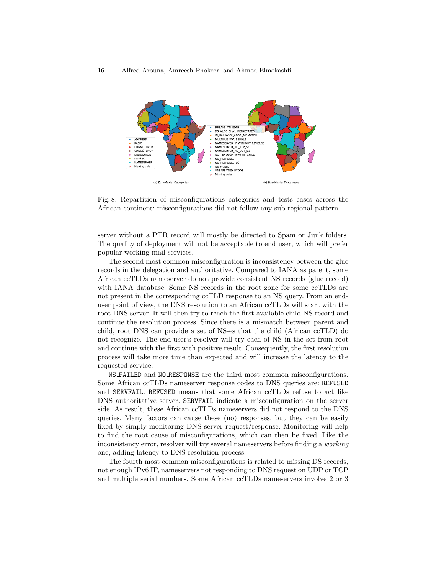

Fig. 8: Repartition of misconfigurations categories and tests cases across the African continent: misconfigurations did not follow any sub regional pattern

server without a PTR record will mostly be directed to Spam or Junk folders. The quality of deployment will not be acceptable to end user, which will prefer popular working mail services.

The second most common misconfiguration is inconsistency between the glue records in the delegation and authoritative. Compared to IANA as parent, some African ccTLDs nameserver do not provide consistent NS records (glue record) with IANA database. Some NS records in the root zone for some ccTLDs are not present in the corresponding ccTLD response to an NS query. From an enduser point of view, the DNS resolution to an African ccTLDs will start with the root DNS server. It will then try to reach the first available child NS record and continue the resolution process. Since there is a mismatch between parent and child, root DNS can provide a set of NS-es that the child (African ccTLD) do not recognize. The end-user's resolver will try each of NS in the set from root and continue with the first with positive result. Consequently, the first resolution process will take more time than expected and will increase the latency to the requested service.

NS FAILED and NO RESPONSE are the third most common misconfigurations. Some African ccTLDs nameserver response codes to DNS queries are: REFUSED and SERVFAIL. REFUSED means that some African ccTLDs refuse to act like DNS authoritative server. SERVFAIL indicate a misconfiguration on the server side. As result, these African ccTLDs nameservers did not respond to the DNS queries. Many factors can cause these (no) responses, but they can be easily fixed by simply monitoring DNS server request/response. Monitoring will help to find the root cause of misconfigurations, which can then be fixed. Like the inconsistency error, resolver will try several nameservers before finding a working one; adding latency to DNS resolution process.

The fourth most common misconfigurations is related to missing DS records, not enough IPv6 IP, nameservers not responding to DNS request on UDP or TCP and multiple serial numbers. Some African ccTLDs nameservers involve 2 or 3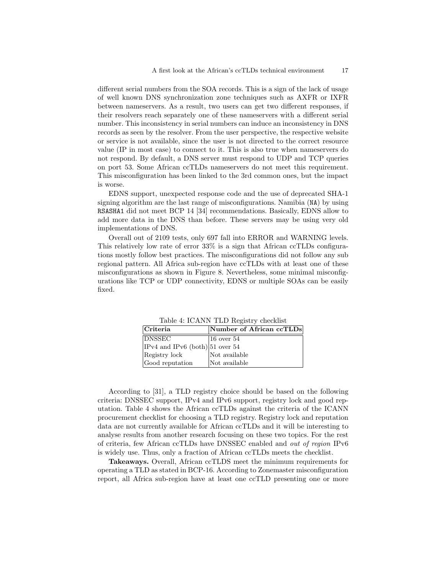different serial numbers from the SOA records. This is a sign of the lack of usage of well known DNS synchronization zone techniques such as AXFR or IXFR between nameservers. As a result, two users can get two different responses, if their resolvers reach separately one of these nameservers with a different serial number. This inconsistency in serial numbers can induce an inconsistency in DNS records as seen by the resolver. From the user perspective, the respective website or service is not available, since the user is not directed to the correct resource value (IP in most case) to connect to it. This is also true when nameservers do not respond. By default, a DNS server must respond to UDP and TCP queries on port 53. Some African ccTLDs nameservers do not meet this requirement. This misconfiguration has been linked to the 3rd common ones, but the impact is worse.

EDNS support, unexpected response code and the use of deprecated SHA-1 signing algorithm are the last range of misconfigurations. Namibia (NA) by using RSASHA1 did not meet BCP 14 [34] recommendations. Basically, EDNS allow to add more data in the DNS than before. These servers may be using very old implementations of DNS.

Overall out of 2109 tests, only 697 fall into ERROR and WARNING levels. This relatively low rate of error 33% is a sign that African ccTLDs configurations mostly follow best practices. The misconfigurations did not follow any sub regional pattern. All Africa sub-region have ccTLDs with at least one of these misconfigurations as shown in Figure 8. Nevertheless, some minimal misconfigurations like TCP or UDP connectivity, EDNS or multiple SOAs can be easily fixed.

| Criteria                           | Number of African ccTLDs |
|------------------------------------|--------------------------|
| DNSSEC                             | $16$ over 54             |
| IPv4 and IPv6 (both) $ 51$ over 54 |                          |
| Registry lock                      | Not available            |
| Good reputation                    | Not available            |

Table 4: ICANN TLD Registry checklist

According to [31], a TLD registry choice should be based on the following criteria: DNSSEC support, IPv4 and IPv6 support, registry lock and good reputation. Table 4 shows the African ccTLDs against the criteria of the ICANN procurement checklist for choosing a TLD registry. Registry lock and reputation data are not currently available for African ccTLDs and it will be interesting to analyse results from another research focusing on these two topics. For the rest of criteria, few African ccTLDs have DNSSEC enabled and out of region IPv6 is widely use. Thus, only a fraction of African ccTLDs meets the checklist.

Takeaways. Overall, African ccTLDS meet the minimum requirements for operating a TLD as stated in BCP-16. According to Zonemaster misconfiguration report, all Africa sub-region have at least one ccTLD presenting one or more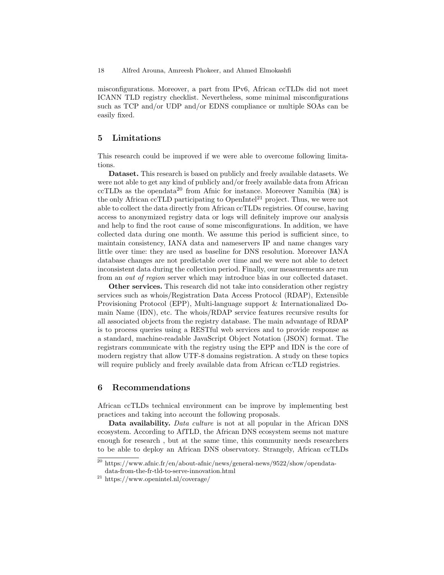misconfigurations. Moreover, a part from IPv6, African ccTLDs did not meet ICANN TLD registry checklist. Nevertheless, some minimal misconfigurations such as TCP and/or UDP and/or EDNS compliance or multiple SOAs can be easily fixed.

# 5 Limitations

This research could be improved if we were able to overcome following limitations.

Dataset. This research is based on publicly and freely available datasets. We were not able to get any kind of publicly and/or freely available data from African  $ccTLDs$  as the opendata<sup>20</sup> from Afnic for instance. Moreover Namibia (NA) is the only African ccTLD participating to OpenIntel<sup>21</sup> project. Thus, we were not able to collect the data directly from African ccTLDs registries. Of course, having access to anonymized registry data or logs will definitely improve our analysis and help to find the root cause of some misconfigurations. In addition, we have collected data during one month. We assume this period is sufficient since, to maintain consistency, IANA data and nameservers IP and name changes vary little over time: they are used as baseline for DNS resolution. Moreover IANA database changes are not predictable over time and we were not able to detect inconsistent data during the collection period. Finally, our measurements are run from an out of region server which may introduce bias in our collected dataset.

Other services. This research did not take into consideration other registry services such as whois/Registration Data Access Protocol (RDAP), Extensible Provisioning Protocol (EPP), Multi-language support & Internationalized Domain Name (IDN), etc. The whois/RDAP service features recursive results for all associated objects from the registry database. The main advantage of RDAP is to process queries using a RESTful web services and to provide response as a standard, machine-readable JavaScript Object Notation (JSON) format. The registrars communicate with the registry using the EPP and IDN is the core of modern registry that allow UTF-8 domains registration. A study on these topics will require publicly and freely available data from African ccTLD registries.

# 6 Recommendations

African ccTLDs technical environment can be improve by implementing best practices and taking into account the following proposals.

Data availability. Data culture is not at all popular in the African DNS ecosystem. According to AfTLD, the African DNS ecosystem seems not mature enough for research , but at the same time, this community needs researchers to be able to deploy an African DNS observatory. Strangely, African ccTLDs

<sup>20</sup> https://www.afnic.fr/en/about-afnic/news/general-news/9522/show/opendata-

data-from-the-fr-tld-to-serve-innovation.html

<sup>21</sup> https://www.openintel.nl/coverage/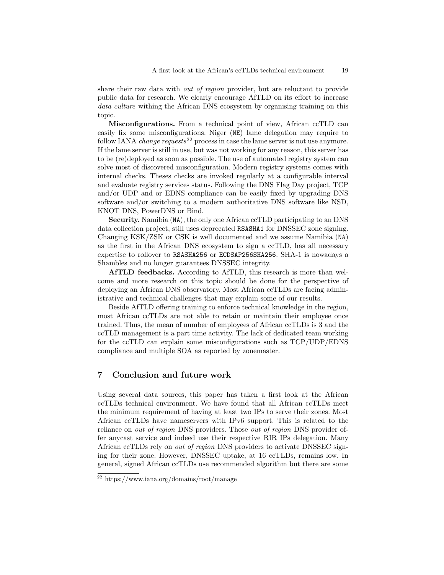share their raw data with out of region provider, but are reluctant to provide public data for research. We clearly encourage AfTLD on its effort to increase data culture withing the African DNS ecosystem by organising training on this topic.

Misconfigurations. From a technical point of view, African ccTLD can easily fix some misconfigurations. Niger (NE) lame delegation may require to follow IANA *change requests*<sup>22</sup> process in case the lame server is not use anymore. If the lame server is still in use, but was not working for any reason, this server has to be (re)deployed as soon as possible. The use of automated registry system can solve most of discovered misconfiguration. Modern registry systems comes with internal checks. Theses checks are invoked regularly at a configurable interval and evaluate registry services status. Following the DNS Flag Day project, TCP and/or UDP and or EDNS compliance can be easily fixed by upgrading DNS software and/or switching to a modern authoritative DNS software like NSD, KNOT DNS, PowerDNS or Bind.

Security. Namibia (NA), the only one African ccTLD participating to an DNS data collection project, still uses deprecated RSASHA1 for DNSSEC zone signing. Changing KSK/ZSK or CSK is well documented and we assume Namibia (NA) as the first in the African DNS ecosystem to sign a ccTLD, has all necessary expertise to rollover to RSASHA256 or ECDSAP256SHA256. SHA-1 is nowadays a Shambles and no longer guarantees DNSSEC integrity.

AfTLD feedbacks. According to AfTLD, this research is more than welcome and more research on this topic should be done for the perspective of deploying an African DNS observatory. Most African ccTLDs are facing administrative and technical challenges that may explain some of our results.

Beside AfTLD offering training to enforce technical knowledge in the region, most African ccTLDs are not able to retain or maintain their employee once trained. Thus, the mean of number of employees of African ccTLDs is 3 and the ccTLD management is a part time activity. The lack of dedicated team working for the ccTLD can explain some misconfigurations such as TCP/UDP/EDNS compliance and multiple SOA as reported by zonemaster.

# 7 Conclusion and future work

Using several data sources, this paper has taken a first look at the African ccTLDs technical environment. We have found that all African ccTLDs meet the minimum requirement of having at least two IPs to serve their zones. Most African ccTLDs have nameservers with IPv6 support. This is related to the reliance on out of region DNS providers. Those out of region DNS provider offer anycast service and indeed use their respective RIR IPs delegation. Many African ccTLDs rely on out of region DNS providers to activate DNSSEC signing for their zone. However, DNSSEC uptake, at 16 ccTLDs, remains low. In general, signed African ccTLDs use recommended algorithm but there are some

 $22$  https://www.iana.org/domains/root/manage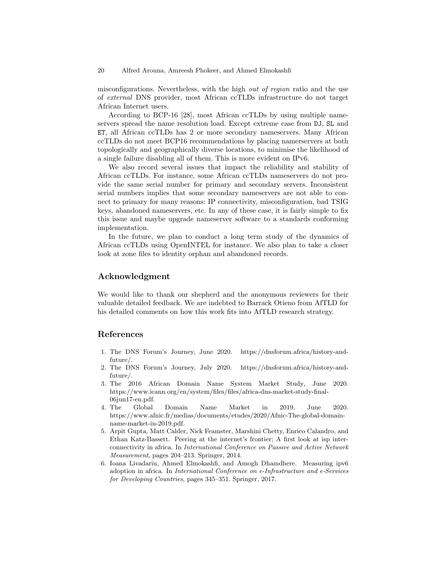misconfigurations. Nevertheless, with the high out of region ratio and the use of external DNS provider, most African ccTLDs infrastructure do not target African Internet users.

According to BCP-16 [28], most African ccTLDs by using multiple nameservers spread the name resolution load. Except extreme case from DJ, SL and ET, all African ccTLDs has 2 or more secondary nameservers. Many African ccTLDs do not meet BCP16 recommendations by placing namerservers at both topologically and geographically diverse locations, to minimise the likelihood of a single failure disabling all of them. This is more evident on IPv6.

We also record several issues that impact the reliability and stability of African ccTLDs. For instance, some African ccTLDs nameservers do not provide the same serial number for primary and secondary servers. Inconsistent serial numbers implies that some secondary nameservers are not able to connect to primary for many reasons: IP connectivity, misconfiguration, bad TSIG keys, abandoned nameservers, etc. In any of these case, it is fairly simple to fix this issue and maybe upgrade nameserver software to a standards conforming implementation.

In the future, we plan to conduct a long term study of the dynamics of African ccTLDs using OpenINTEL for instance. We also plan to take a closer look at zone files to identity orphan and abandoned records.

### Acknowledgment

We would like to thank our shepherd and the anonymous reviewers for their valuable detailed feedback. We are indebted to Barrack Otieno from AfTLD for his detailed comments on how this work fits into AfTLD research strategy.

### References

- 1. The DNS Forum's Journey, June 2020. https://dnsforum.africa/history-andfuture/.
- 2. The DNS Forum's Journey, July 2020. https://dnsforum.africa/history-andfuture/.
- 3. The 2016 African Domain Name System Market Study, June 2020. https://www.icann.org/en/system/files/files/africa-dns-market-study-final-06jun17-en.pdf.
- 4. The Global Domain Name Market in 2019, June 2020. https://www.afnic.fr/medias/documents/etudes/2020/Afnic-The-global-domainname-market-in-2019.pdf.
- 5. Arpit Gupta, Matt Calder, Nick Feamster, Marshini Chetty, Enrico Calandro, and Ethan Katz-Bassett. Peering at the internet's frontier: A first look at isp interconnectivity in africa. In International Conference on Passive and Active Network Measurement, pages 204–213. Springer, 2014.
- 6. Ioana Livadariu, Ahmed Elmokashfi, and Amogh Dhamdhere. Measuring ipv6 adoption in africa. In International Conference on e-Infrastructure and e-Services for Developing Countries, pages 345–351. Springer, 2017.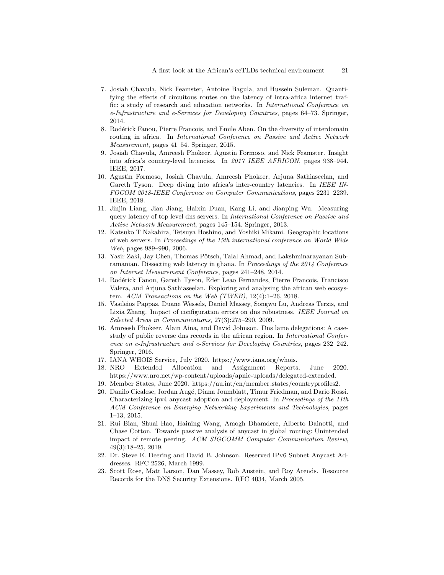- 7. Josiah Chavula, Nick Feamster, Antoine Bagula, and Hussein Suleman. Quantifying the effects of circuitous routes on the latency of intra-africa internet traffic: a study of research and education networks. In International Conference on e-Infrastructure and e-Services for Developing Countries, pages 64–73. Springer, 2014.
- 8. Rodérick Fanou, Pierre Francois, and Emile Aben. On the diversity of interdomain routing in africa. In International Conference on Passive and Active Network Measurement, pages 41–54. Springer, 2015.
- 9. Josiah Chavula, Amreesh Phokeer, Agustin Formoso, and Nick Feamster. Insight into africa's country-level latencies. In 2017 IEEE AFRICON, pages 938–944. IEEE, 2017.
- 10. Agustin Formoso, Josiah Chavula, Amreesh Phokeer, Arjuna Sathiaseelan, and Gareth Tyson. Deep diving into africa's inter-country latencies. In IEEE IN-FOCOM 2018-IEEE Conference on Computer Communications, pages 2231–2239. IEEE, 2018.
- 11. Jinjin Liang, Jian Jiang, Haixin Duan, Kang Li, and Jianping Wu. Measuring query latency of top level dns servers. In International Conference on Passive and Active Network Measurement, pages 145–154. Springer, 2013.
- 12. Katsuko T Nakahira, Tetsuya Hoshino, and Yoshiki Mikami. Geographic locations of web servers. In Proceedings of the 15th international conference on World Wide Web, pages 989–990, 2006.
- 13. Yasir Zaki, Jay Chen, Thomas Pötsch, Talal Ahmad, and Lakshminarayanan Subramanian. Dissecting web latency in ghana. In Proceedings of the 2014 Conference on Internet Measurement Conference, pages 241–248, 2014.
- 14. Rodérick Fanou, Gareth Tyson, Eder Leao Fernandes, Pierre Francois, Francisco Valera, and Arjuna Sathiaseelan. Exploring and analysing the african web ecosystem. ACM Transactions on the Web  $(TWEB)$ , 12(4):1-26, 2018.
- 15. Vasileios Pappas, Duane Wessels, Daniel Massey, Songwu Lu, Andreas Terzis, and Lixia Zhang. Impact of configuration errors on dns robustness. IEEE Journal on Selected Areas in Communications, 27(3):275–290, 2009.
- 16. Amreesh Phokeer, Alain Aina, and David Johnson. Dns lame delegations: A casestudy of public reverse dns records in the african region. In International Conference on e-Infrastructure and e-Services for Developing Countries, pages 232–242. Springer, 2016.
- 17. IANA WHOIS Service, July 2020. https://www.iana.org/whois.
- 18. NRO Extended Allocation and Assignment Reports, June 2020. https://www.nro.net/wp-content/uploads/apnic-uploads/delegated-extended.
- 19. Member States, June 2020. https://au.int/en/member states/countryprofiles2.
- 20. Danilo Cicalese, Jordan Augé, Diana Joumblatt, Timur Friedman, and Dario Rossi. Characterizing ipv4 anycast adoption and deployment. In Proceedings of the 11th ACM Conference on Emerging Networking Experiments and Technologies, pages 1–13, 2015.
- 21. Rui Bian, Shuai Hao, Haining Wang, Amogh Dhamdere, Alberto Dainotti, and Chase Cotton. Towards passive analysis of anycast in global routing: Unintended impact of remote peering. ACM SIGCOMM Computer Communication Review, 49(3):18–25, 2019.
- 22. Dr. Steve E. Deering and David B. Johnson. Reserved IPv6 Subnet Anycast Addresses. RFC 2526, March 1999.
- 23. Scott Rose, Matt Larson, Dan Massey, Rob Austein, and Roy Arends. Resource Records for the DNS Security Extensions. RFC 4034, March 2005.